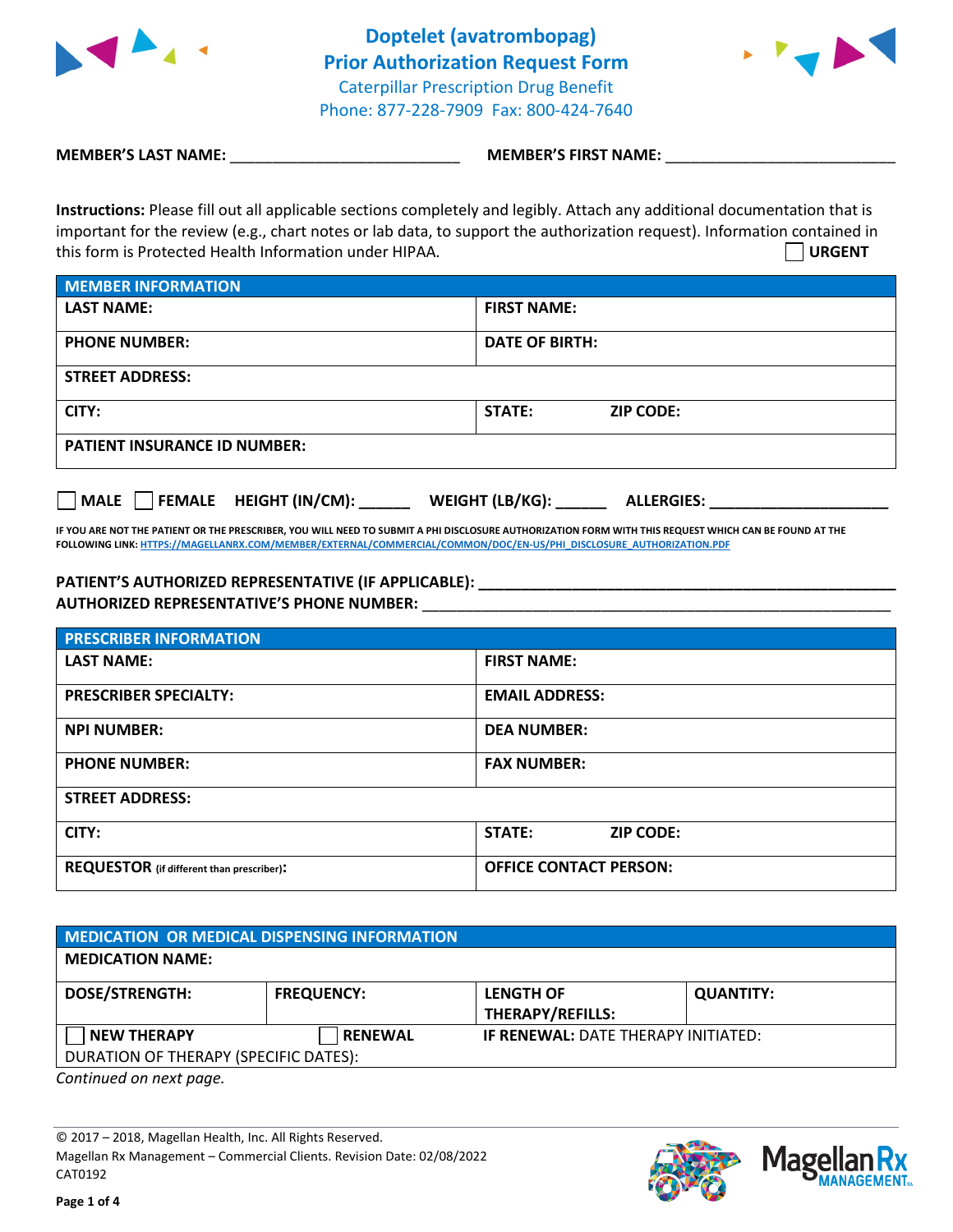



**MEMBER'S LAST NAME:**  $\blacksquare$  **MEMBER'S FIRST NAME:**  $\blacksquare$ 

**Instructions:** Please fill out all applicable sections completely and legibly. Attach any additional documentation that is important for the review (e.g., chart notes or lab data, to support the authorization request). Information contained in this form is Protected Health Information under HIPAA. **URGENT**

| <b>MEMBER INFORMATION</b>           |                            |  |  |  |
|-------------------------------------|----------------------------|--|--|--|
| <b>LAST NAME:</b>                   | <b>FIRST NAME:</b>         |  |  |  |
| <b>PHONE NUMBER:</b>                | <b>DATE OF BIRTH:</b>      |  |  |  |
| <b>STREET ADDRESS:</b>              |                            |  |  |  |
| CITY:                               | STATE:<br><b>ZIP CODE:</b> |  |  |  |
| <b>PATIENT INSURANCE ID NUMBER:</b> |                            |  |  |  |

**MALE FEMALE HEIGHT (IN/CM): \_\_\_\_\_\_ WEIGHT (LB/KG): \_\_\_\_\_\_ ALLERGIES: \_\_\_\_\_\_\_\_\_\_\_\_\_\_\_\_\_\_\_\_\_**

**IF YOU ARE NOT THE PATIENT OR THE PRESCRIBER, YOU WILL NEED TO SUBMIT A PHI DISCLOSURE AUTHORIZATION FORM WITH THIS REQUEST WHICH CAN BE FOUND AT THE FOLLOWING LINK[: HTTPS://MAGELLANRX.COM/MEMBER/EXTERNAL/COMMERCIAL/COMMON/DOC/EN-US/PHI\\_DISCLOSURE\\_AUTHORIZATION.PDF](https://magellanrx.com/member/external/commercial/common/doc/en-us/PHI_Disclosure_Authorization.pdf)**

## PATIENT'S AUTHORIZED REPRESENTATIVE (IF APPLICABLE): \_\_\_\_\_\_\_\_\_\_\_\_\_\_\_\_\_\_\_\_\_\_\_\_\_\_\_ **AUTHORIZED REPRESENTATIVE'S PHONE NUMBER:** \_\_\_\_\_\_\_\_\_\_\_\_\_\_\_\_\_\_\_\_\_\_\_\_\_\_\_\_\_\_\_\_\_\_\_\_\_\_\_\_\_\_\_\_\_\_\_\_\_\_\_\_\_\_\_

| <b>PRESCRIBER INFORMATION</b>             |                                   |  |  |  |
|-------------------------------------------|-----------------------------------|--|--|--|
| <b>LAST NAME:</b>                         | <b>FIRST NAME:</b>                |  |  |  |
| <b>PRESCRIBER SPECIALTY:</b>              | <b>EMAIL ADDRESS:</b>             |  |  |  |
| <b>NPI NUMBER:</b>                        | <b>DEA NUMBER:</b>                |  |  |  |
| <b>PHONE NUMBER:</b>                      | <b>FAX NUMBER:</b>                |  |  |  |
| <b>STREET ADDRESS:</b>                    |                                   |  |  |  |
| CITY:                                     | <b>STATE:</b><br><b>ZIP CODE:</b> |  |  |  |
| REQUESTOR (if different than prescriber): | <b>OFFICE CONTACT PERSON:</b>     |  |  |  |

| <b>MEDICATION OR MEDICAL DISPENSING INFORMATION</b> |                   |                                            |                  |  |  |  |
|-----------------------------------------------------|-------------------|--------------------------------------------|------------------|--|--|--|
| <b>MEDICATION NAME:</b>                             |                   |                                            |                  |  |  |  |
| <b>DOSE/STRENGTH:</b>                               | <b>FREQUENCY:</b> | <b>LENGTH OF</b><br>THERAPY/REFILLS:       | <b>QUANTITY:</b> |  |  |  |
| <b>NEW THERAPY</b>                                  | <b>RENEWAL</b>    | <b>IF RENEWAL: DATE THERAPY INITIATED:</b> |                  |  |  |  |
| DURATION OF THERAPY (SPECIFIC DATES):               |                   |                                            |                  |  |  |  |

*Continued on next page.*

© 2017 – 2018, Magellan Health, Inc. All Rights Reserved. Magellan Rx Management – Commercial Clients. Revision Date: 02/08/2022 CAT0192



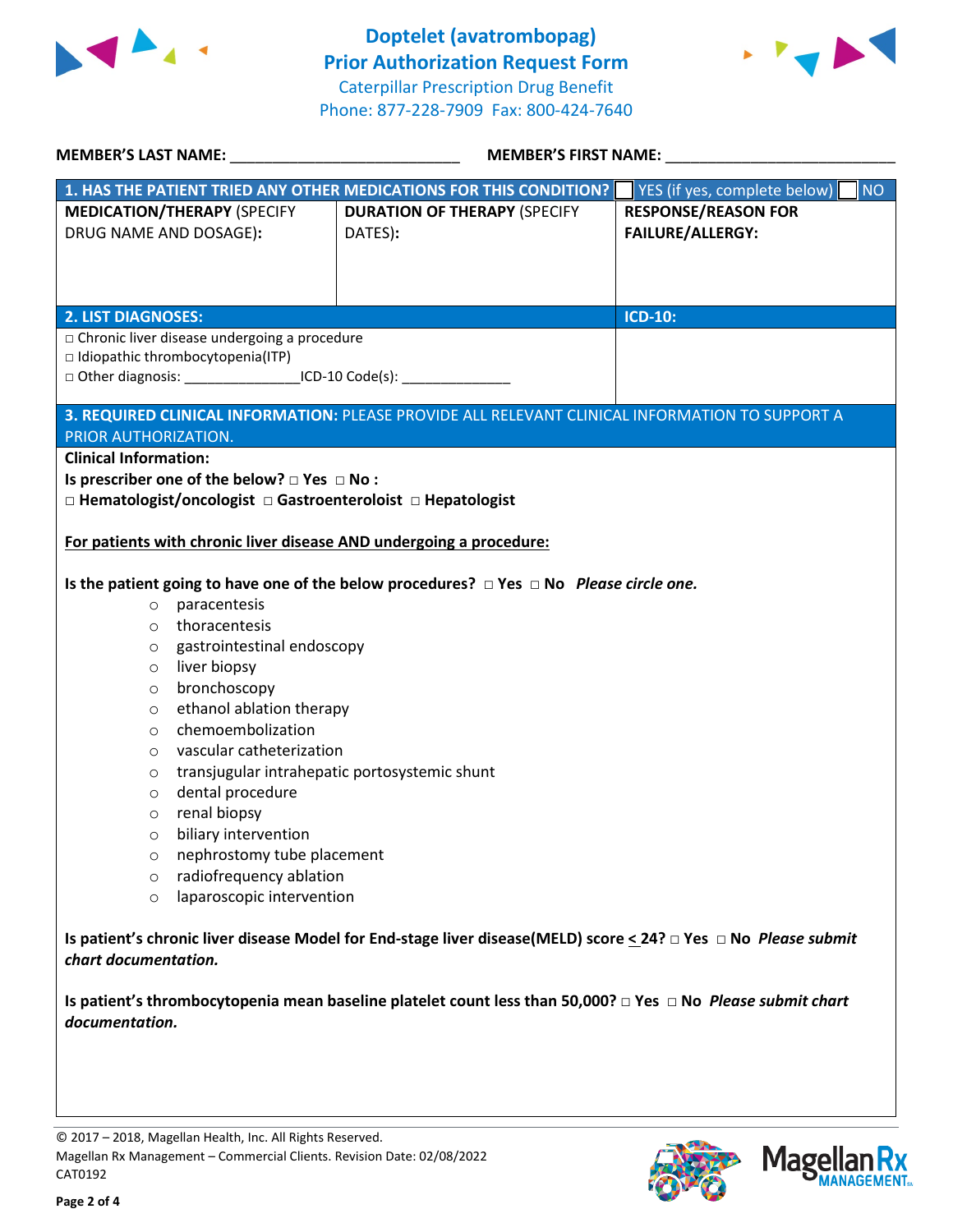

 **Doptelet (avatrombopag) Prior Authorization Request Form** Caterpillar Prescription Drug Benefit Phone: 877-228-7909 Fax: 800-424-7640



|                                                                                                                                                   | <b>MEMBER'S LAST NAME:</b> NAME<br><b>MEMBER'S FIRST NAME:</b> |                                                                                                   |                                    |  |  |
|---------------------------------------------------------------------------------------------------------------------------------------------------|----------------------------------------------------------------|---------------------------------------------------------------------------------------------------|------------------------------------|--|--|
|                                                                                                                                                   |                                                                | 1. HAS THE PATIENT TRIED ANY OTHER MEDICATIONS FOR THIS CONDITION?                                | YES (if yes, complete below)<br>NO |  |  |
|                                                                                                                                                   | <b>MEDICATION/THERAPY (SPECIFY</b>                             | <b>DURATION OF THERAPY (SPECIFY</b>                                                               | <b>RESPONSE/REASON FOR</b>         |  |  |
| DRUG NAME AND DOSAGE):                                                                                                                            |                                                                | DATES):                                                                                           | <b>FAILURE/ALLERGY:</b>            |  |  |
|                                                                                                                                                   |                                                                |                                                                                                   |                                    |  |  |
|                                                                                                                                                   |                                                                |                                                                                                   |                                    |  |  |
|                                                                                                                                                   |                                                                |                                                                                                   |                                    |  |  |
| <b>2. LIST DIAGNOSES:</b>                                                                                                                         |                                                                |                                                                                                   | ICD-10:                            |  |  |
| □ Chronic liver disease undergoing a procedure<br>$\Box$ Idiopathic thrombocytopenia(ITP)                                                         |                                                                |                                                                                                   |                                    |  |  |
|                                                                                                                                                   |                                                                | □ Other diagnosis: ____________________ICD-10 Code(s): ________________________                   |                                    |  |  |
|                                                                                                                                                   |                                                                |                                                                                                   |                                    |  |  |
|                                                                                                                                                   |                                                                | 3. REQUIRED CLINICAL INFORMATION: PLEASE PROVIDE ALL RELEVANT CLINICAL INFORMATION TO SUPPORT A   |                                    |  |  |
| PRIOR AUTHORIZATION.                                                                                                                              |                                                                |                                                                                                   |                                    |  |  |
| <b>Clinical Information:</b>                                                                                                                      |                                                                |                                                                                                   |                                    |  |  |
|                                                                                                                                                   | Is prescriber one of the below? $\Box$ Yes $\Box$ No:          |                                                                                                   |                                    |  |  |
|                                                                                                                                                   |                                                                | □ Hematologist/oncologist □ Gastroenteroloist □ Hepatologist                                      |                                    |  |  |
|                                                                                                                                                   |                                                                | For patients with chronic liver disease AND undergoing a procedure:                               |                                    |  |  |
|                                                                                                                                                   |                                                                |                                                                                                   |                                    |  |  |
|                                                                                                                                                   |                                                                | Is the patient going to have one of the below procedures? $\Box$ Yes $\Box$ No Please circle one. |                                    |  |  |
| $\circ$                                                                                                                                           | paracentesis                                                   |                                                                                                   |                                    |  |  |
| $\circ$                                                                                                                                           | thoracentesis                                                  |                                                                                                   |                                    |  |  |
| O                                                                                                                                                 | gastrointestinal endoscopy                                     |                                                                                                   |                                    |  |  |
| $\circ$                                                                                                                                           | liver biopsy                                                   |                                                                                                   |                                    |  |  |
| $\circ$                                                                                                                                           | bronchoscopy                                                   |                                                                                                   |                                    |  |  |
| $\circ$                                                                                                                                           | ethanol ablation therapy                                       |                                                                                                   |                                    |  |  |
| $\circ$                                                                                                                                           | chemoembolization                                              |                                                                                                   |                                    |  |  |
| $\circ$                                                                                                                                           | vascular catheterization                                       |                                                                                                   |                                    |  |  |
| $\circ$                                                                                                                                           | transjugular intrahepatic portosystemic shunt                  |                                                                                                   |                                    |  |  |
| $\circ$                                                                                                                                           | dental procedure                                               |                                                                                                   |                                    |  |  |
| $\circ$                                                                                                                                           | renal biopsy                                                   |                                                                                                   |                                    |  |  |
| $\cap$                                                                                                                                            | biliary intervention                                           |                                                                                                   |                                    |  |  |
| O                                                                                                                                                 | nephrostomy tube placement                                     |                                                                                                   |                                    |  |  |
| $\circ$                                                                                                                                           | radiofrequency ablation                                        |                                                                                                   |                                    |  |  |
| $\circ$                                                                                                                                           | laparoscopic intervention                                      |                                                                                                   |                                    |  |  |
| Is patient's chronic liver disease Model for End-stage liver disease(MELD) score < 24? $\Box$ Yes $\Box$ No Please submit<br>chart documentation. |                                                                |                                                                                                   |                                    |  |  |
| Is patient's thrombocytopenia mean baseline platelet count less than 50,000? $\Box$ Yes $\Box$ No Please submit chart<br>documentation.           |                                                                |                                                                                                   |                                    |  |  |
|                                                                                                                                                   |                                                                |                                                                                                   |                                    |  |  |



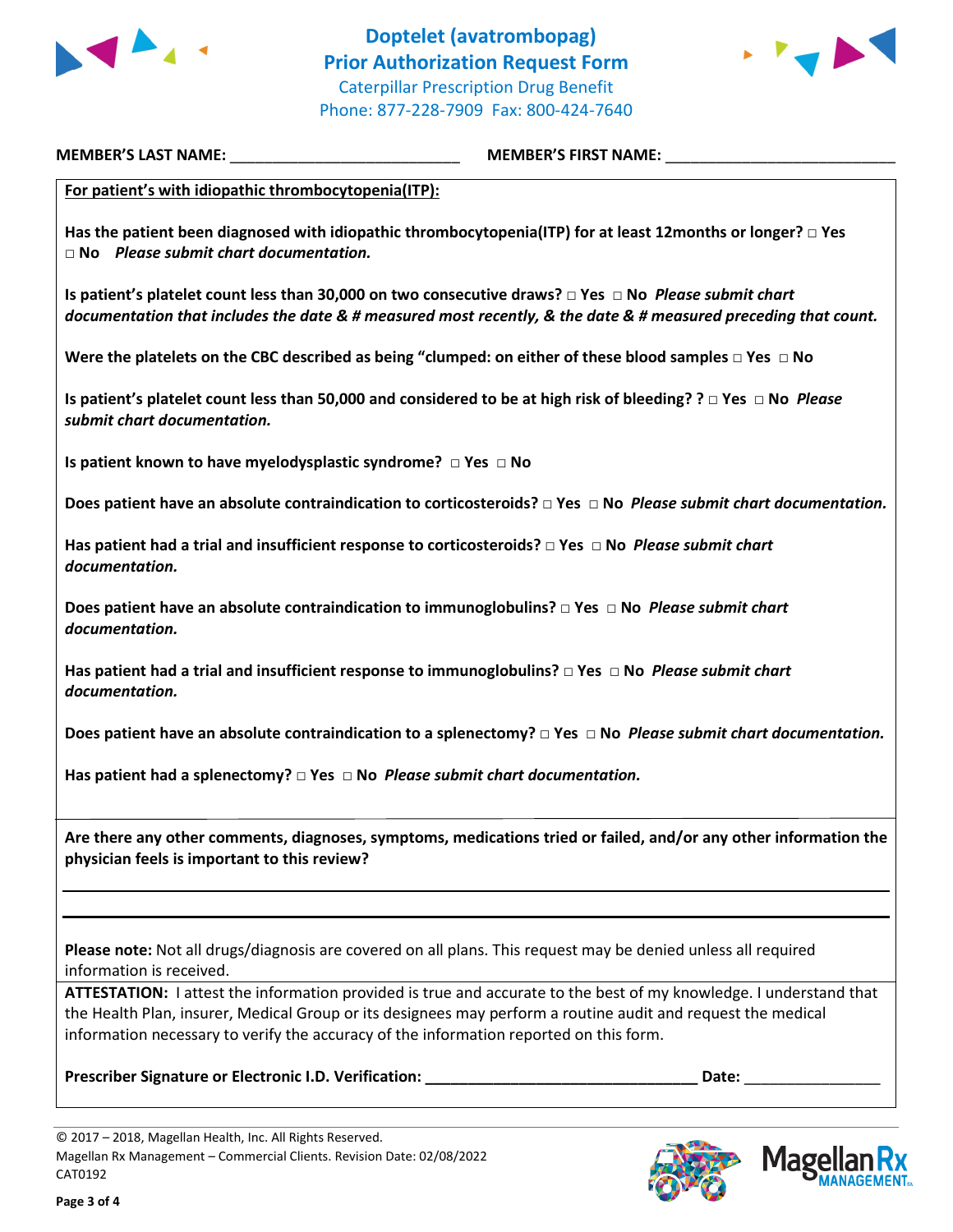



**MEMBER'S LAST NAME:** \_\_\_\_\_\_\_\_\_\_\_\_\_\_\_\_\_\_\_\_\_\_\_\_\_\_\_ **MEMBER'S FIRST NAME:** \_\_\_\_\_\_\_\_\_\_\_\_\_\_\_\_\_\_\_\_\_\_\_\_\_\_\_

**For patient's with idiopathic thrombocytopenia(ITP):**

**Has the patient been diagnosed with idiopathic thrombocytopenia(ITP) for at least 12months or longer? □ Yes □ No** *Please submit chart documentation.*

**Is patient's platelet count less than 30,000 on two consecutive draws? □ Yes □ No** *Please submit chart documentation that includes the date & # measured most recently, & the date & # measured preceding that count.*

**Were the platelets on the CBC described as being "clumped: on either of these blood samples □ Yes □ No** 

**Is patient's platelet count less than 50,000 and considered to be at high risk of bleeding? ? □ Yes □ No** *Please submit chart documentation.*

**Is patient known to have myelodysplastic syndrome? □ Yes □ No** 

**Does patient have an absolute contraindication to corticosteroids? □ Yes □ No** *Please submit chart documentation.*

**Has patient had a trial and insufficient response to corticosteroids? □ Yes □ No** *Please submit chart documentation.*

**Does patient have an absolute contraindication to immunoglobulins? □ Yes □ No** *Please submit chart documentation.*

**Has patient had a trial and insufficient response to immunoglobulins? □ Yes □ No** *Please submit chart documentation.*

**Does patient have an absolute contraindication to a splenectomy? □ Yes □ No** *Please submit chart documentation.*

**Has patient had a splenectomy? □ Yes □ No** *Please submit chart documentation.*

**Are there any other comments, diagnoses, symptoms, medications tried or failed, and/or any other information the physician feels is important to this review?**

**Please note:** Not all drugs/diagnosis are covered on all plans. This request may be denied unless all required information is received.

**ATTESTATION:** I attest the information provided is true and accurate to the best of my knowledge. I understand that the Health Plan, insurer, Medical Group or its designees may perform a routine audit and request the medical information necessary to verify the accuracy of the information reported on this form.

**Prescriber Signature or Electronic I.D. Verification: \_\_\_\_\_\_\_\_\_\_\_\_\_\_\_\_\_\_\_\_\_\_\_\_\_\_\_\_\_\_\_\_ Date:** \_\_\_\_\_\_\_\_\_\_\_\_\_\_\_\_





<sup>© 2017 –</sup> 2018, Magellan Health, Inc. All Rights Reserved. Magellan Rx Management – Commercial Clients. Revision Date: 02/08/2022 CAT0192